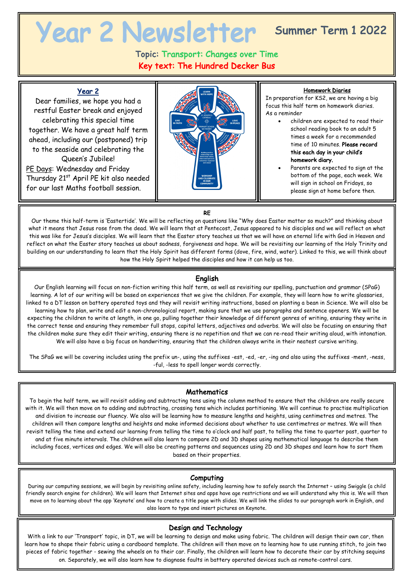# Summer Term 1 2022

# Topic: Transport: Changes over Time Key text: The Hundred Decker Bus

## Year 2

Dear families, we hope you had a restful Easter break and enjoyed celebrating this special time together. We have a great half term ahead, including our (postponed) trip to the seaside and celebrating the Queen's Jubilee! PE Days: Wednesday and Friday Thursday 21<sup>st</sup> April PE kit also needed for our last Maths football session.



#### Homework Diaries

In preparation for KS2, we are having a big focus this half term on homework diaries. As a reminder

- children are expected to read their school reading book to an adult 5 times a week for a recommended time of 10 minutes. Please record this each day in your child's homework diary.
- Parents are expected to sign at the bottom of the page, each week. We will sign in school on Fridays, so please sign at home before then.

#### RE

Our theme this half-term is 'Eastertide'. We will be reflecting on questions like "Why does Easter matter so much?" and thinking about what it means that Jesus rose from the dead. We will learn that at Pentecost, Jesus appeared to his disciples and we will reflect on what this was like for Jesus's disciples. We will learn that the Easter story teaches us that we will have an eternal life with God in Heaven and reflect on what the Easter story teaches us about sadness, forgiveness and hope. We will be revisiting our learning of the Holy Trinity and building on our understanding to learn that the Holy Spirit has different forms (dove, fire, wind, water). Linked to this, we will think about how the Holy Spirit helped the disciples and how it can help us too.

#### English

Our English learning will focus on non-fiction writing this half term, as well as revisiting our spelling, punctuation and grammar (SPaG) learning. A lot of our writing will be based on experiences that we give the children. For example, they will learn how to write glossaries, linked to a DT lesson on battery operated toys and they will revisit writing instructions, based on planting a bean in Science. We will also be learning how to plan, write and edit a non-chronological report, making sure that we use paragraphs and sentence openers. We will be expecting the children to write at length, in one go, pulling together their knowledge of different genres of writing, ensuring they write in the correct tense and ensuring they remember full stops, capital letters, adjectives and adverbs. We will also be focusing on ensuring that the children make sure they edit their writing, ensuring there is no repetition and that we can re-read their writing aloud, with intonation. We will also have a big focus on handwriting, ensuring that the children always write in their neatest cursive writing.

The SPaG we will be covering includes using the prefix un-, using the suffixes -est, -ed, -er, -ing and also using the suffixes -ment, -ness, -ful, -less to spell longer words correctly.

#### **Mathematics**

To begin the half term, we will revisit adding and subtracting tens using the column method to ensure that the children are really secure with it. We will then move on to adding and subtracting, crossing tens which includes partitioning. We will continue to practise multiplication and division to increase our fluency. We also will be learning how to measure lengths and heights, using centimetres and metres. The children will then compare lengths and heights and make informed decisions about whether to use centimetres or metres. We will then revisit telling the time and extend our learning from telling the time to o'clock and half past, to telling the time to quarter past, quarter to and at five minute intervals. The children will also learn to compare 2D and 3D shapes using mathematical language to describe them including faces, vertices and edges. We will also be creating patterns and sequences using 2D and 3D shapes and learn how to sort them based on their properties.

#### Computing

During our computing sessions, we will begin by revisiting online safety, including learning how to safely search the Internet – using Swiggle (a child friendly search engine for children). We will learn that Internet sites and apps have age restrictions and we will understand why this is. We will then move on to learning about the app 'Keynote' and how to create a title page with slides. We will link the slides to our paragraph work in English, and also learn to type and insert pictures on Keynote.

#### Design and Technology

With a link to our 'Transport' topic, in DT, we will be learning to design and make using fabric. The children will design their own car, then learn how to shape their fabric using a cardboard template. The children will then move on to learning how to use running stitch, to join two pieces of fabric together - sewing the wheels on to their car. Finally, the children will learn how to decorate their car by stitching sequins on. Separately, we will also learn how to diagnose faults in battery operated devices such as remote-control cars.